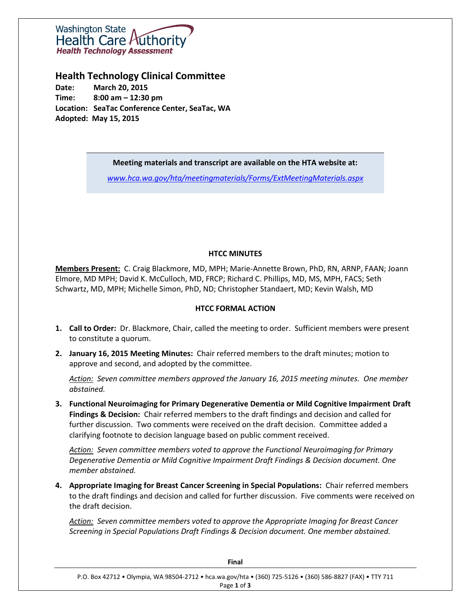

**Health Technology Clinical Committee**

**Date: March 20, 2015 Time: 8:00 am – 12:30 pm Location: SeaTac Conference Center, SeaTac, WA Adopted: May 15, 2015**

**Meeting materials and transcript are available on the HTA website at:**

*[www.hca.wa.gov/hta/meetingmaterials/Forms/ExtMeetingMaterials.aspx](http://www.hca.wa.gov/hta/meetingmaterials/Forms/ExtMeetingMaterials.aspx)*

# **HTCC MINUTES**

**Members Present:** C. Craig Blackmore, MD, MPH; Marie-Annette Brown, PhD, RN, ARNP, FAAN; Joann Elmore, MD MPH; David K. McCulloch, MD, FRCP; Richard C. Phillips, MD, MS, MPH, FACS; Seth Schwartz, MD, MPH; Michelle Simon, PhD, ND; Christopher Standaert, MD; Kevin Walsh, MD

# **HTCC FORMAL ACTION**

- **1. Call to Order:** Dr. Blackmore, Chair, called the meeting to order. Sufficient members were present to constitute a quorum.
- **2. January 16, 2015 Meeting Minutes:** Chair referred members to the draft minutes; motion to approve and second, and adopted by the committee.

*Action: Seven committee members approved the January 16, 2015 meeting minutes. One member abstained.* 

**3. Functional Neuroimaging for Primary Degenerative Dementia or Mild Cognitive Impairment Draft Findings & Decision:** Chair referred members to the draft findings and decision and called for further discussion. Two comments were received on the draft decision. Committee added a clarifying footnote to decision language based on public comment received.

*Action: Seven committee members voted to approve the Functional Neuroimaging for Primary Degenerative Dementia or Mild Cognitive Impairment Draft Findings & Decision document. One member abstained.*

**4. Appropriate Imaging for Breast Cancer Screening in Special Populations:** Chair referred members to the draft findings and decision and called for further discussion. Five comments were received on the draft decision.

*Action: Seven committee members voted to approve the Appropriate Imaging for Breast Cancer Screening in Special Populations Draft Findings & Decision document. One member abstained.*

| Final                                                                                                                     |
|---------------------------------------------------------------------------------------------------------------------------|
| P.O. Box 42712 • Olympia, WA 98504-2712 • hca.wa.gov/hta • (360) 725-5126 • (360) 586-8827 (FAX) • TTY 711<br>Page 1 of 3 |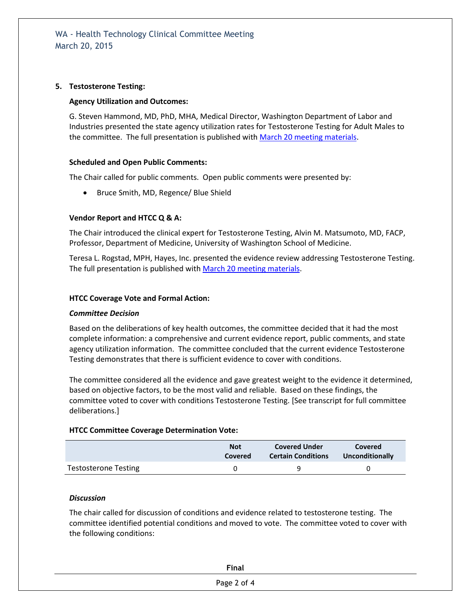# **5. Testosterone Testing:**

#### **Agency Utilization and Outcomes:**

G. Steven Hammond, MD, PhD, MHA, Medical Director, Washington Department of Labor and Industries presented the state agency utilization rates for Testosterone Testing for Adult Males to the committee. The full presentation is published with March 20 [meeting materials.](http://www.hca.wa.gov/hta/meetingmaterials/Forms/ExtMeetingMaterials.aspx)

# **Scheduled and Open Public Comments:**

The Chair called for public comments. Open public comments were presented by:

• Bruce Smith, MD, Regence/ Blue Shield

# **Vendor Report and HTCC Q & A:**

The Chair introduced the clinical expert for Testosterone Testing, Alvin M. Matsumoto, MD, FACP, Professor, Department of Medicine, University of Washington School of Medicine.

Teresa L. Rogstad, MPH, Hayes, Inc. presented the evidence review addressing Testosterone Testing. The full presentation is published with March 20 [meeting materials.](http://www.hca.wa.gov/hta/meetingmaterials/Forms/ExtMeetingMaterials.aspx)

#### **HTCC Coverage Vote and Formal Action:**

#### *Committee Decision*

Based on the deliberations of key health outcomes, the committee decided that it had the most complete information: a comprehensive and current evidence report, public comments, and state agency utilization information. The committee concluded that the current evidence Testosterone Testing demonstrates that there is sufficient evidence to cover with conditions.

The committee considered all the evidence and gave greatest weight to the evidence it determined, based on objective factors, to be the most valid and reliable. Based on these findings, the committee voted to cover with conditions Testosterone Testing. [See transcript for full committee deliberations.]

#### **HTCC Committee Coverage Determination Vote:**

|                             | <b>Not</b> | <b>Covered Under</b>      | Covered         |
|-----------------------------|------------|---------------------------|-----------------|
|                             | Covered    | <b>Certain Conditions</b> | Unconditionally |
| <b>Testosterone Testing</b> |            |                           |                 |

#### *Discussion*

The chair called for discussion of conditions and evidence related to testosterone testing. The committee identified potential conditions and moved to vote. The committee voted to cover with the following conditions:

| <b>Final</b> |  |
|--------------|--|
| Page 2 of 4  |  |